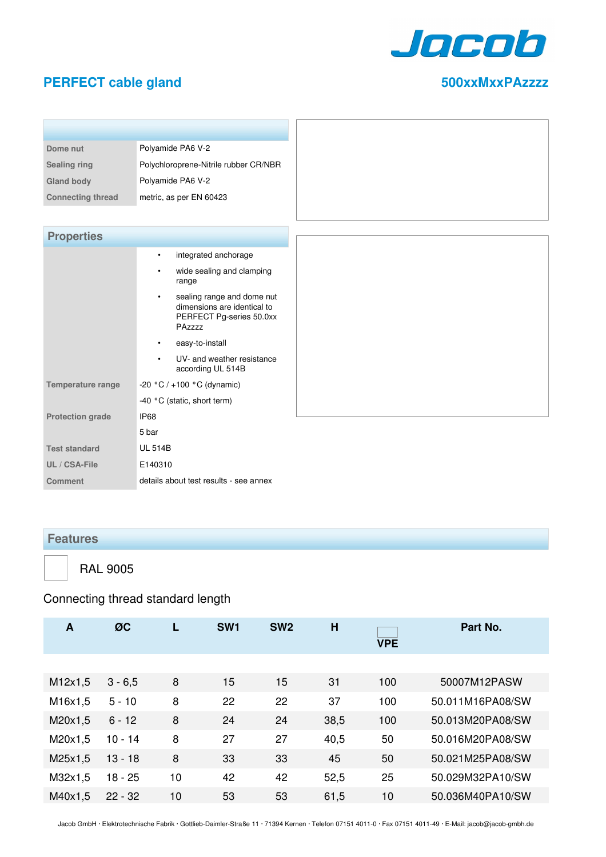

#### **PERFECT cable gland 500xxMxxPAzzzz**

| 500XXMXXPAZZ |
|--------------|
|              |
|              |

| Dome nut                 | Polyamide PA6 V-2                     |
|--------------------------|---------------------------------------|
| <b>Sealing ring</b>      | Polychloroprene-Nitrile rubber CR/NBR |
| <b>Gland body</b>        | Polyamide PA6 V-2                     |
| <b>Connecting thread</b> | metric, as per EN 60423               |

| <b>Properties</b>        |                                                                                                              |
|--------------------------|--------------------------------------------------------------------------------------------------------------|
|                          | integrated anchorage<br>٠                                                                                    |
|                          | wide sealing and clamping<br>$\bullet$<br>range                                                              |
|                          | sealing range and dome nut<br>$\bullet$<br>dimensions are identical to<br>PERFECT Pg-series 50.0xx<br>PAzzzz |
|                          | easy-to-install<br>$\bullet$                                                                                 |
|                          | UV- and weather resistance<br>$\bullet$<br>according UL 514B                                                 |
| <b>Temperature range</b> | -20 °C $/$ +100 °C (dynamic)                                                                                 |
|                          | -40 °C (static, short term)                                                                                  |
| <b>Protection grade</b>  | IP68                                                                                                         |
|                          | 5 bar                                                                                                        |
| <b>Test standard</b>     | <b>UL 514B</b>                                                                                               |
| UL / CSA-File            | E140310                                                                                                      |
| <b>Comment</b>           | details about test results - see annex                                                                       |

#### **Features**

RAL 9005

## Connecting thread standard length

| A       | ØC        |    | SW <sub>1</sub> | SW <sub>2</sub> | H    | <b>VPE</b> | Part No.         |
|---------|-----------|----|-----------------|-----------------|------|------------|------------------|
|         |           |    |                 |                 |      |            |                  |
| M12x1,5 | $3 - 6,5$ | 8  | 15              | 15              | 31   | 100        | 50007M12PASW     |
| M16x1,5 | $5 - 10$  | 8  | 22              | 22              | 37   | 100        | 50.011M16PA08/SW |
| M20x1,5 | $6 - 12$  | 8  | 24              | 24              | 38,5 | 100        | 50.013M20PA08/SW |
| M20x1,5 | $10 - 14$ | 8  | 27              | 27              | 40,5 | 50         | 50.016M20PA08/SW |
| M25x1,5 | $13 - 18$ | 8  | 33              | 33              | 45   | 50         | 50.021M25PA08/SW |
| M32x1,5 | $18 - 25$ | 10 | 42              | 42              | 52,5 | 25         | 50.029M32PA10/SW |
| M40x1,5 | $22 - 32$ | 10 | 53              | 53              | 61,5 | 10         | 50.036M40PA10/SW |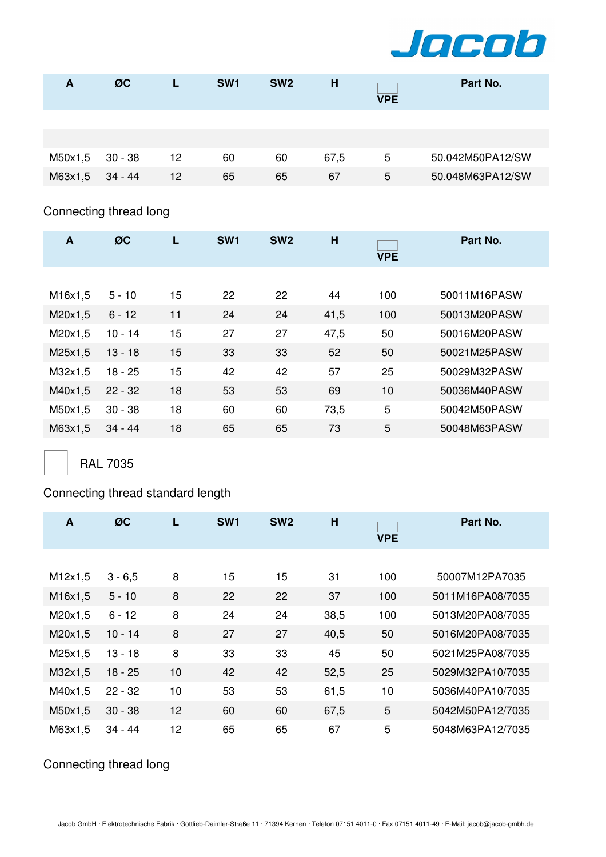

| A       | ØC      |    | SW <sub>1</sub> | SW <sub>2</sub> | н    | <b>VPE</b> | Part No.         |
|---------|---------|----|-----------------|-----------------|------|------------|------------------|
|         |         |    |                 |                 |      |            |                  |
| M50x1,5 | 30 - 38 | 12 | 60              | 60              | 67,5 | 5          | 50.042M50PA12/SW |
| M63x1,5 | 34 - 44 | 12 | 65              | 65              | 67   | 5          | 50.048M63PA12/SW |

## Connecting thread long

| $\mathbf{A}$ | ØC        | L  | SW <sub>1</sub> | SW <sub>2</sub> | H    | <b>VPE</b> | Part No.     |
|--------------|-----------|----|-----------------|-----------------|------|------------|--------------|
|              |           |    |                 |                 |      |            |              |
| M16x1,5      | $5 - 10$  | 15 | 22              | 22              | 44   | 100        | 50011M16PASW |
| M20x1,5      | $6 - 12$  | 11 | 24              | 24              | 41,5 | 100        | 50013M20PASW |
| M20x1,5      | $10 - 14$ | 15 | 27              | 27              | 47,5 | 50         | 50016M20PASW |
| M25x1,5      | $13 - 18$ | 15 | 33              | 33              | 52   | 50         | 50021M25PASW |
| M32x1,5      | $18 - 25$ | 15 | 42              | 42              | 57   | 25         | 50029M32PASW |
| M40x1,5      | $22 - 32$ | 18 | 53              | 53              | 69   | 10         | 50036M40PASW |
| M50x1,5      | $30 - 38$ | 18 | 60              | 60              | 73,5 | 5          | 50042M50PASW |
| M63x1,5      | $34 - 44$ | 18 | 65              | 65              | 73   | 5          | 50048M63PASW |
|              |           |    |                 |                 |      |            |              |

RAL 7035

## Connecting thread standard length

| A       | ØC        | L  | SW <sub>1</sub> | SW <sub>2</sub> | H    | <b>VPE</b> | Part No.         |
|---------|-----------|----|-----------------|-----------------|------|------------|------------------|
|         |           |    |                 |                 |      |            |                  |
| M12x1,5 | $3 - 6,5$ | 8  | 15              | 15              | 31   | 100        | 50007M12PA7035   |
| M16x1,5 | $5 - 10$  | 8  | 22              | 22              | 37   | 100        | 5011M16PA08/7035 |
| M20x1,5 | $6 - 12$  | 8  | 24              | 24              | 38,5 | 100        | 5013M20PA08/7035 |
| M20x1,5 | $10 - 14$ | 8  | 27              | 27              | 40,5 | 50         | 5016M20PA08/7035 |
| M25x1,5 | $13 - 18$ | 8  | 33              | 33              | 45   | 50         | 5021M25PA08/7035 |
| M32x1,5 | 18 - 25   | 10 | 42              | 42              | 52,5 | 25         | 5029M32PA10/7035 |
| M40x1,5 | $22 - 32$ | 10 | 53              | 53              | 61,5 | 10         | 5036M40PA10/7035 |
| M50x1,5 | $30 - 38$ | 12 | 60              | 60              | 67,5 | 5          | 5042M50PA12/7035 |
| M63x1,5 | $34 - 44$ | 12 | 65              | 65              | 67   | 5          | 5048M63PA12/7035 |

## Connecting thread long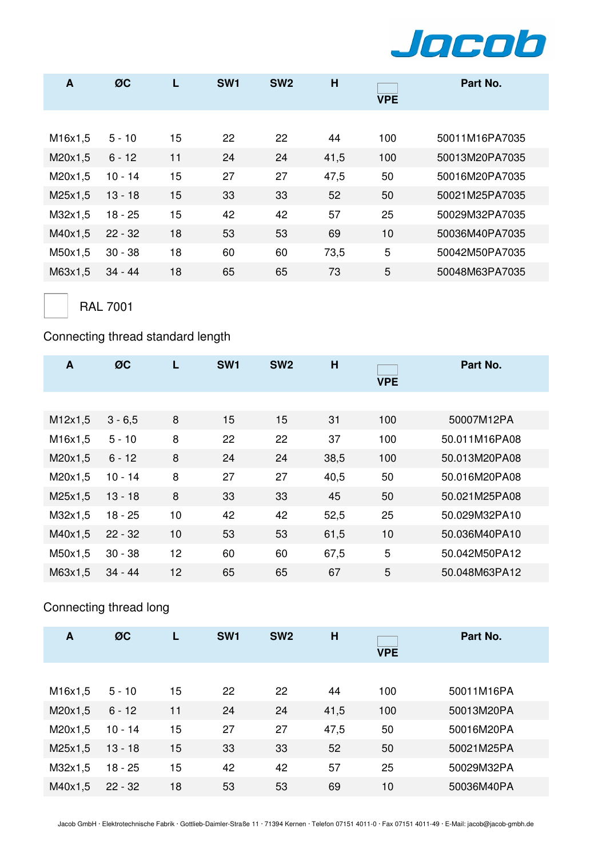

| A       | ØC        |    | SW <sub>1</sub> | SW <sub>2</sub> | H    | <b>VPE</b> | Part No.       |
|---------|-----------|----|-----------------|-----------------|------|------------|----------------|
|         |           |    |                 |                 |      |            |                |
| M16x1,5 | $5 - 10$  | 15 | 22              | 22              | 44   | 100        | 50011M16PA7035 |
| M20x1,5 | $6 - 12$  | 11 | 24              | 24              | 41,5 | 100        | 50013M20PA7035 |
| M20x1,5 | $10 - 14$ | 15 | 27              | 27              | 47,5 | 50         | 50016M20PA7035 |
| M25x1,5 | $13 - 18$ | 15 | 33              | 33              | 52   | 50         | 50021M25PA7035 |
| M32x1,5 | $18 - 25$ | 15 | 42              | 42              | 57   | 25         | 50029M32PA7035 |
| M40x1,5 | $22 - 32$ | 18 | 53              | 53              | 69   | 10         | 50036M40PA7035 |
| M50x1,5 | $30 - 38$ | 18 | 60              | 60              | 73,5 | 5          | 50042M50PA7035 |
| M63x1,5 | $34 - 44$ | 18 | 65              | 65              | 73   | 5          | 50048M63PA7035 |

RAL 7001

## Connecting thread standard length

| A       | ØC        | L  | SW <sub>1</sub> | SW <sub>2</sub> | H    | <b>VPE</b> | Part No.      |
|---------|-----------|----|-----------------|-----------------|------|------------|---------------|
|         |           |    |                 |                 |      |            |               |
| M12x1,5 | $3 - 6,5$ | 8  | 15              | 15              | 31   | 100        | 50007M12PA    |
| M16x1,5 | $5 - 10$  | 8  | 22              | 22              | 37   | 100        | 50.011M16PA08 |
| M20x1,5 | $6 - 12$  | 8  | 24              | 24              | 38,5 | 100        | 50.013M20PA08 |
| M20x1,5 | $10 - 14$ | 8  | 27              | 27              | 40,5 | 50         | 50.016M20PA08 |
| M25x1,5 | $13 - 18$ | 8  | 33              | 33              | 45   | 50         | 50.021M25PA08 |
| M32x1,5 | $18 - 25$ | 10 | 42              | 42              | 52,5 | 25         | 50.029M32PA10 |
| M40x1,5 | $22 - 32$ | 10 | 53              | 53              | 61,5 | 10         | 50.036M40PA10 |
| M50x1,5 | $30 - 38$ | 12 | 60              | 60              | 67,5 | 5          | 50.042M50PA12 |
| M63x1,5 | $34 - 44$ | 12 | 65              | 65              | 67   | 5          | 50.048M63PA12 |

# Connecting thread long

| A       | ØC        |    | SW <sub>1</sub> | SW <sub>2</sub> | H    | <b>VPE</b> | Part No.   |
|---------|-----------|----|-----------------|-----------------|------|------------|------------|
|         |           |    |                 |                 |      |            |            |
| M16x1,5 | $5 - 10$  | 15 | 22              | 22              | 44   | 100        | 50011M16PA |
| M20x1,5 | $6 - 12$  | 11 | 24              | 24              | 41,5 | 100        | 50013M20PA |
| M20x1,5 | $10 - 14$ | 15 | 27              | 27              | 47,5 | 50         | 50016M20PA |
| M25x1,5 | $13 - 18$ | 15 | 33              | 33              | 52   | 50         | 50021M25PA |
| M32x1,5 | 18 - 25   | 15 | 42              | 42              | 57   | 25         | 50029M32PA |
| M40x1,5 | $22 - 32$ | 18 | 53              | 53              | 69   | 10         | 50036M40PA |